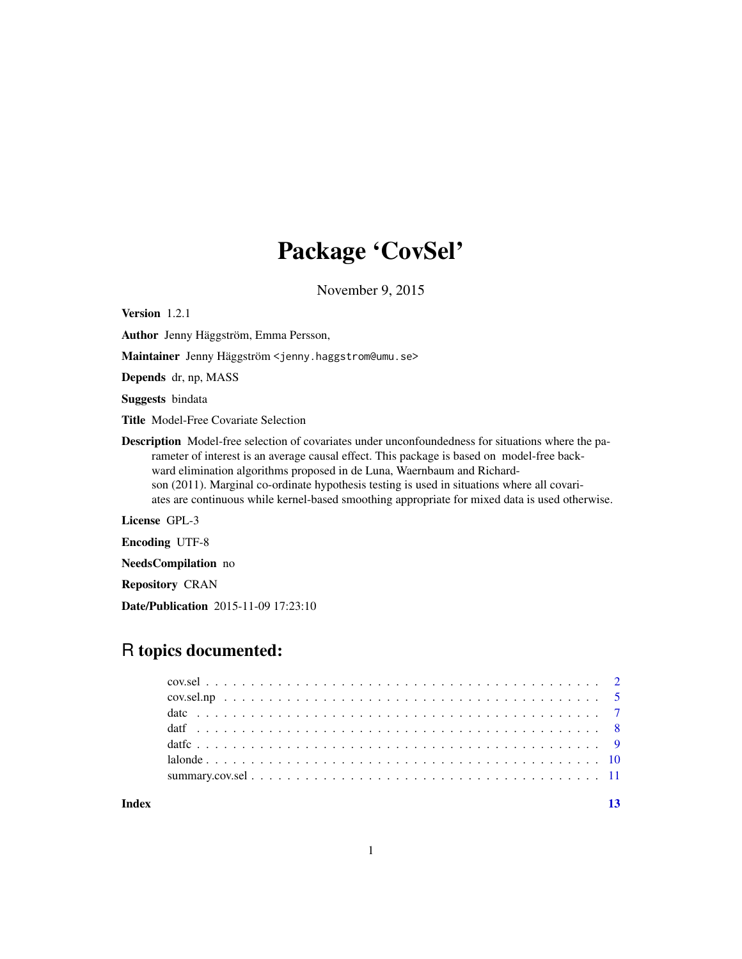# Package 'CovSel'

November 9, 2015

<span id="page-0-0"></span>Version 1.2.1

Author Jenny Häggström, Emma Persson,

Maintainer Jenny Häggström <jenny.haggstrom@umu.se>

Depends dr, np, MASS

Suggests bindata

Title Model-Free Covariate Selection

Description Model-free selection of covariates under unconfoundedness for situations where the parameter of interest is an average causal effect. This package is based on model-free backward elimination algorithms proposed in de Luna, Waernbaum and Richardson (2011). Marginal co-ordinate hypothesis testing is used in situations where all covariates are continuous while kernel-based smoothing appropriate for mixed data is used otherwise.

License GPL-3

Encoding UTF-8

NeedsCompilation no

Repository CRAN

Date/Publication 2015-11-09 17:23:10

# R topics documented:

**Index** [13](#page-12-0)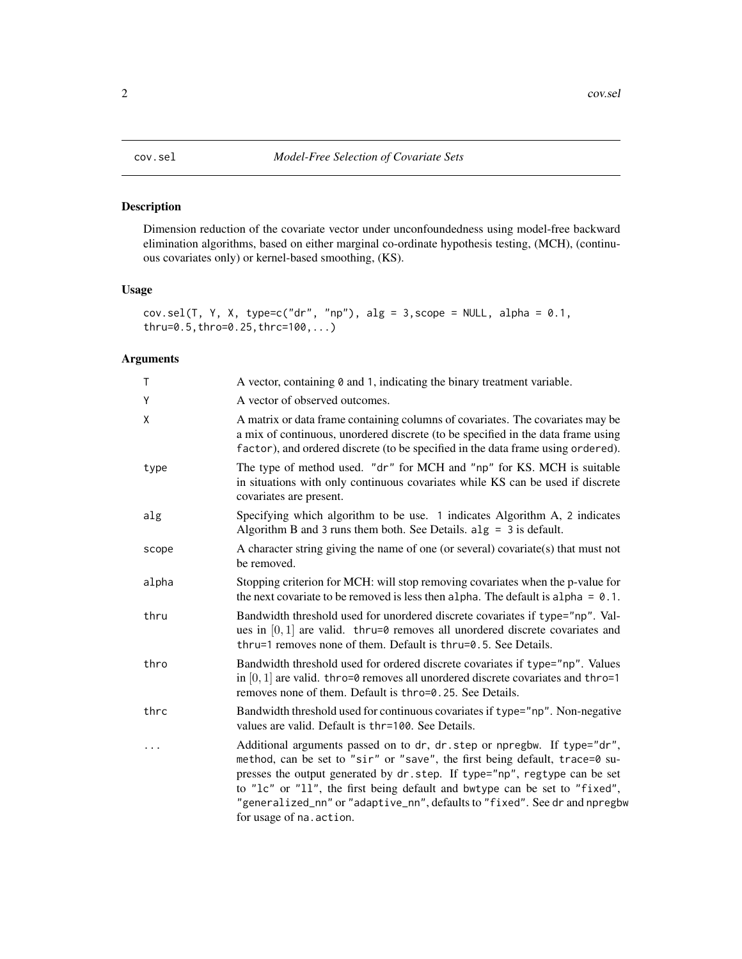# <span id="page-1-0"></span>Description

Dimension reduction of the covariate vector under unconfoundedness using model-free backward elimination algorithms, based on either marginal co-ordinate hypothesis testing, (MCH), (continuous covariates only) or kernel-based smoothing, (KS).

### Usage

```
cov.sel(T, Y, X, type=c("dr", "np"), alg = 3,scope = NULL, alpha = 0.1,
thru=0.5,thro=0.25,thrc=100,...)
```
# Arguments

| T     | A vector, containing 0 and 1, indicating the binary treatment variable.                                                                                                                                                                                                                                                                                                                                                      |
|-------|------------------------------------------------------------------------------------------------------------------------------------------------------------------------------------------------------------------------------------------------------------------------------------------------------------------------------------------------------------------------------------------------------------------------------|
| Y     | A vector of observed outcomes.                                                                                                                                                                                                                                                                                                                                                                                               |
| χ     | A matrix or data frame containing columns of covariates. The covariates may be<br>a mix of continuous, unordered discrete (to be specified in the data frame using<br>factor), and ordered discrete (to be specified in the data frame using ordered).                                                                                                                                                                       |
| type  | The type of method used. "dr" for MCH and "np" for KS. MCH is suitable<br>in situations with only continuous covariates while KS can be used if discrete<br>covariates are present.                                                                                                                                                                                                                                          |
| alg   | Specifying which algorithm to be use. 1 indicates Algorithm A, 2 indicates<br>Algorithm B and 3 runs them both. See Details. $alg = 3$ is default.                                                                                                                                                                                                                                                                           |
| scope | A character string giving the name of one (or several) covariate(s) that must not<br>be removed.                                                                                                                                                                                                                                                                                                                             |
| alpha | Stopping criterion for MCH: will stop removing covariates when the p-value for<br>the next covariate to be removed is less then alpha. The default is alpha = $0.1$ .                                                                                                                                                                                                                                                        |
| thru  | Bandwidth threshold used for unordered discrete covariates if type="np". Val-<br>ues in $[0, 1]$ are valid. thru=0 removes all unordered discrete covariates and<br>thru=1 removes none of them. Default is thru=0.5. See Details.                                                                                                                                                                                           |
| thro  | Bandwidth threshold used for ordered discrete covariates if type="np". Values<br>in $[0, 1]$ are valid. thro=0 removes all unordered discrete covariates and thro=1<br>removes none of them. Default is thro=0.25. See Details.                                                                                                                                                                                              |
| thrc  | Bandwidth threshold used for continuous covariates if type="np". Non-negative<br>values are valid. Default is thr=100. See Details.                                                                                                                                                                                                                                                                                          |
| .     | Additional arguments passed on to dr, dr. step or npregbw. If type="dr",<br>method, can be set to "sir" or "save", the first being default, trace=0 su-<br>presses the output generated by dr.step. If type="np", regtype can be set<br>to "1c" or "11", the first being default and bwtype can be set to "fixed",<br>"generalized_nn" or "adaptive_nn", defaults to "fixed". See dr and npregbw<br>for usage of na. action. |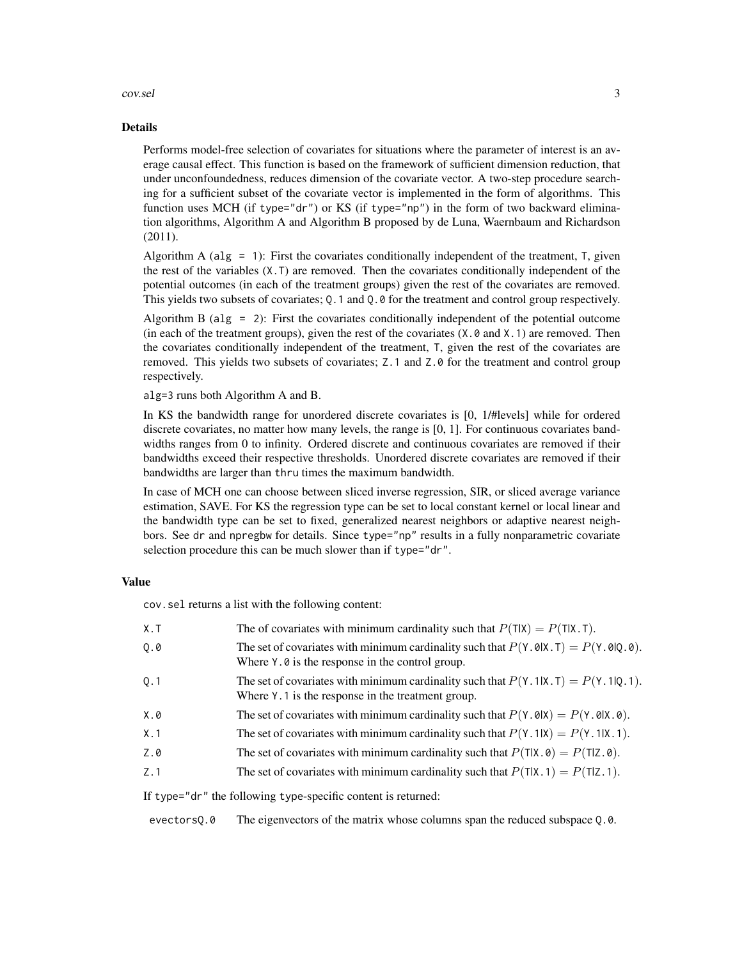#### cov.sel 3

#### Details

Performs model-free selection of covariates for situations where the parameter of interest is an average causal effect. This function is based on the framework of sufficient dimension reduction, that under unconfoundedness, reduces dimension of the covariate vector. A two-step procedure searching for a sufficient subset of the covariate vector is implemented in the form of algorithms. This function uses MCH (if type="dr") or KS (if type="np") in the form of two backward elimination algorithms, Algorithm A and Algorithm B proposed by de Luna, Waernbaum and Richardson (2011).

Algorithm A (alg = 1): First the covariates conditionally independent of the treatment,  $\bar{T}$ , given the rest of the variables (X.T) are removed. Then the covariates conditionally independent of the potential outcomes (in each of the treatment groups) given the rest of the covariates are removed. This yields two subsets of covariates; Q.1 and Q.0 for the treatment and control group respectively.

Algorithm B ( $alg = 2$ ): First the covariates conditionally independent of the potential outcome (in each of the treatment groups), given the rest of the covariates  $(X, 0, 0, 1)$  are removed. Then the covariates conditionally independent of the treatment, T, given the rest of the covariates are removed. This yields two subsets of covariates; Z.1 and Z.0 for the treatment and control group respectively.

alg=3 runs both Algorithm A and B.

In KS the bandwidth range for unordered discrete covariates is [0, 1/#levels] while for ordered discrete covariates, no matter how many levels, the range is [0, 1]. For continuous covariates bandwidths ranges from 0 to infinity. Ordered discrete and continuous covariates are removed if their bandwidths exceed their respective thresholds. Unordered discrete covariates are removed if their bandwidths are larger than thru times the maximum bandwidth.

In case of MCH one can choose between sliced inverse regression, SIR, or sliced average variance estimation, SAVE. For KS the regression type can be set to local constant kernel or local linear and the bandwidth type can be set to fixed, generalized nearest neighbors or adaptive nearest neighbors. See dr and npregbw for details. Since type="np" results in a fully nonparametric covariate selection procedure this can be much slower than if type="dr".

#### Value

cov.sel returns a list with the following content:

| X.T | The of covariates with minimum cardinality such that $P(T X) = P(T X,T)$ .                                                                                                                         |
|-----|----------------------------------------------------------------------------------------------------------------------------------------------------------------------------------------------------|
| Q.0 | The set of covariates with minimum cardinality such that $P(Y \cdot \theta   X \cdot T) = P(Y \cdot \theta   Q \cdot \theta)$ .<br>Where $Y \cdot \emptyset$ is the response in the control group. |
| 0.1 | The set of covariates with minimum cardinality such that $P(Y.1 X.T) = P(Y.1 Q.1)$ .<br>Where Y. 1 is the response in the treatment group.                                                         |
| X.0 | The set of covariates with minimum cardinality such that $P(Y \cdot \theta   X) = P(Y \cdot \theta   X \cdot \theta)$ .                                                                            |
| X.1 | The set of covariates with minimum cardinality such that $P(Y, 1 X) = P(Y, 1 X, 1)$ .                                                                                                              |
| Z.0 | The set of covariates with minimum cardinality such that $P(T X, \theta) = P(T Z, \theta)$ .                                                                                                       |
| Z.1 | The set of covariates with minimum cardinality such that $P(T X, 1) = P(T Z, 1)$ .                                                                                                                 |
|     | If $\pm \nu$ no $\pm \nu$ dr <sup>"</sup> the following $\pm \nu$ no specific content is returned.                                                                                                 |

If type="dr" the following type-specific content is returned:

evectorsQ.0 The eigenvectors of the matrix whose columns span the reduced subspace Q.0.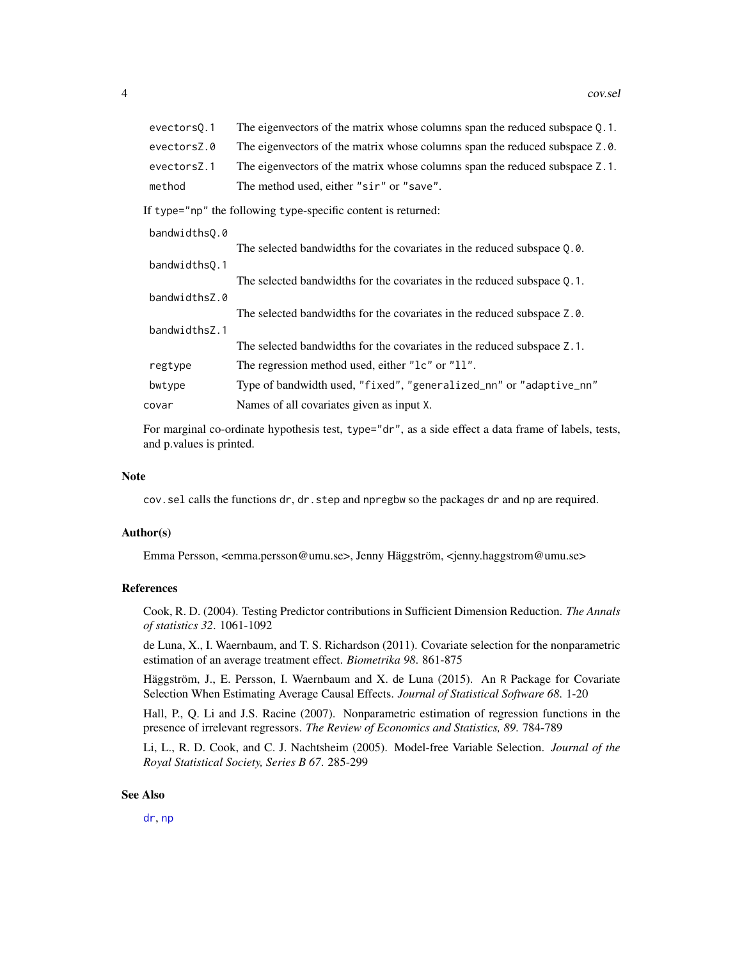<span id="page-3-0"></span>

| evectors0.1 | The eigenvectors of the matrix whose columns span the reduced subspace 0.1. |
|-------------|-----------------------------------------------------------------------------|
| evectorsZ.0 | The eigenvectors of the matrix whose columns span the reduced subspace Z.0. |
| evectorsZ.1 | The eigenvectors of the matrix whose columns span the reduced subspace Z.1. |
| method      | The method used, either "sir" or "save".                                    |

If type="np" the following type-specific content is returned:

| bandwidths0.0 |                                                                            |
|---------------|----------------------------------------------------------------------------|
|               | The selected bandwidths for the covariates in the reduced subspace Q.0.    |
| bandwidths0.1 |                                                                            |
|               | The selected bandwidths for the covariates in the reduced subspace $Q.1$ . |
| bandwidthsZ.0 |                                                                            |
|               | The selected bandwidths for the covariates in the reduced subspace Z.0.    |
| bandwidthsZ.1 |                                                                            |
|               | The selected bandwidths for the covariates in the reduced subspace Z.1.    |
| regtype       | The regression method used, either "1c" or "11".                           |
| bwtype        | Type of bandwidth used, "fixed", "generalized_nn" or "adaptive_nn"         |
| covar         | Names of all covariates given as input X.                                  |

For marginal co-ordinate hypothesis test, type="dr", as a side effect a data frame of labels, tests, and p.values is printed.

#### **Note**

cov.sel calls the functions dr, dr.step and npregbw so the packages dr and np are required.

#### Author(s)

Emma Persson, <emma.persson@umu.se>, Jenny Häggström, <jenny.haggstrom@umu.se>

#### References

Cook, R. D. (2004). Testing Predictor contributions in Sufficient Dimension Reduction. *The Annals of statistics 32*. 1061-1092

de Luna, X., I. Waernbaum, and T. S. Richardson (2011). Covariate selection for the nonparametric estimation of an average treatment effect. *Biometrika 98*. 861-875

Häggström, J., E. Persson, I. Waernbaum and X. de Luna (2015). An R Package for Covariate Selection When Estimating Average Causal Effects. *Journal of Statistical Software 68*. 1-20

Hall, P., Q. Li and J.S. Racine (2007). Nonparametric estimation of regression functions in the presence of irrelevant regressors. *The Review of Economics and Statistics, 89*. 784-789

Li, L., R. D. Cook, and C. J. Nachtsheim (2005). Model-free Variable Selection. *Journal of the Royal Statistical Society, Series B 67*. 285-299

#### See Also

[dr](#page-0-0), [np](#page-0-0)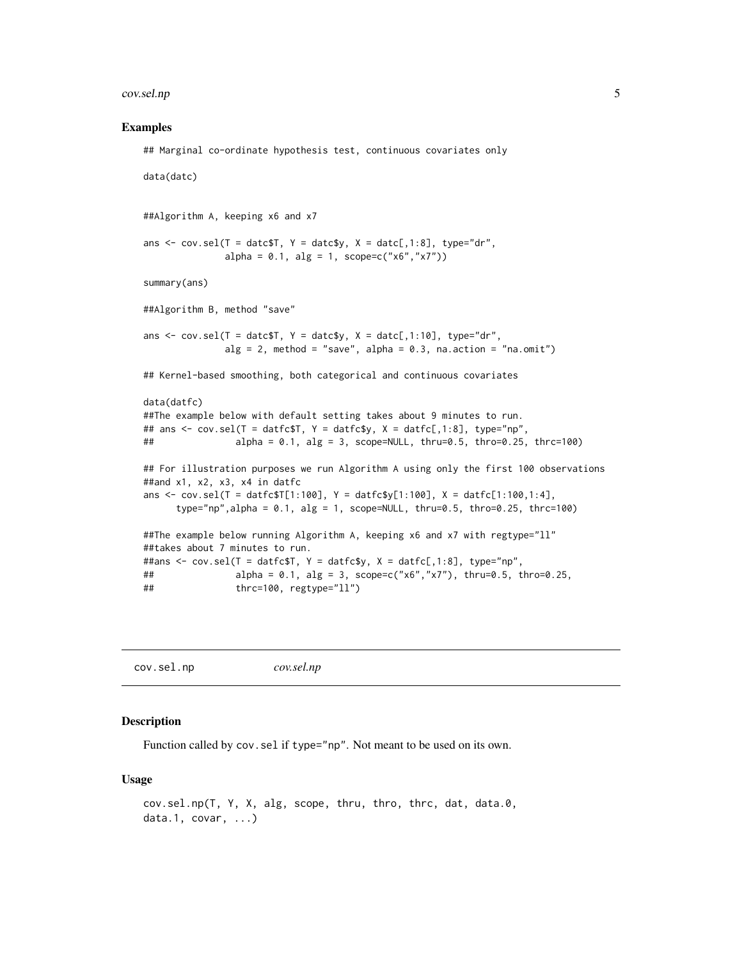#### <span id="page-4-0"></span>cov.sel.np 5

#### Examples

```
## Marginal co-ordinate hypothesis test, continuous covariates only
data(datc)
##Algorithm A, keeping x6 and x7
ans \leq cov.sel(T = datc$T, Y = datc$y, X = datc[,1:8], type="dr",
              alpha = 0.1, alg = 1, scope = c("x6", "x7")summary(ans)
##Algorithm B, method "save"
ans \leq cov.sel(T = datc$T, Y = datc$y, X = datc[,1:10], type="dr",
              alg = 2, method = "save", alpha = 0.3, na.action = "na.omit")
## Kernel-based smoothing, both categorical and continuous covariates
data(datfc)
##The example below with default setting takes about 9 minutes to run.
## ans <- cov.sel(T = datfc$T, Y = datfc$y, X = datfc[,1:8], type="np",
## alpha = 0.1, alg = 3, scope=NULL, thru=0.5, thro=0.25, thrc=100)
## For illustration purposes we run Algorithm A using only the first 100 observations
##and x1, x2, x3, x4 in datfc
ans \le - cov.sel(T = datfc$T[1:100], Y = datfc$y[1:100], X = datfc[1:100,1:4],
     type="np",alpha = 0.1, alg = 1, scope=NULL, thru=0.5, thro=0.25, thrc=100)
##The example below running Algorithm A, keeping x6 and x7 with regtype="ll"
##takes about 7 minutes to run.
##ans <- cov.sel(T = datfc$T, Y = datfc$y, X = datfc[,1:8], type="np",
## alpha = 0.1, alg = 3, scope = c("x6", "x7"), thru = 0.5, thro = 0.25,
## thrc=100, regtype="ll")
```
cov.sel.np *cov.sel.np*

#### Description

Function called by cov. sel if type="np". Not meant to be used on its own.

#### Usage

```
cov.sel.np(T, Y, X, alg, scope, thru, thro, thrc, dat, data.0,
data.1, covar, ...)
```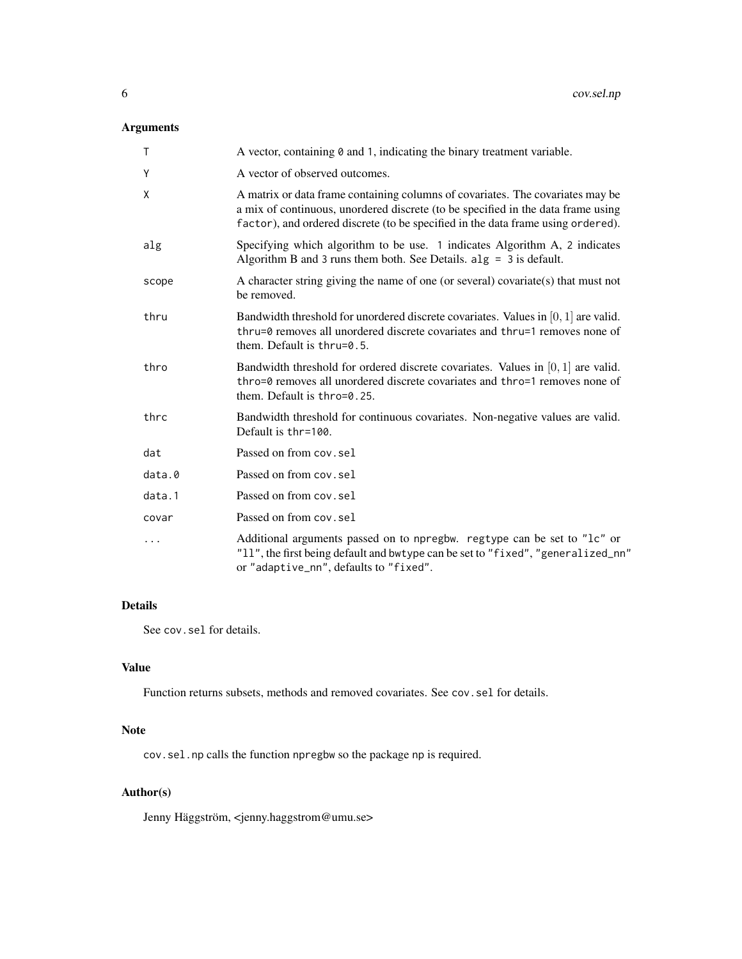# Arguments

| $\mathsf{T}$ | A vector, containing $\theta$ and 1, indicating the binary treatment variable.                                                                                                                                                                         |
|--------------|--------------------------------------------------------------------------------------------------------------------------------------------------------------------------------------------------------------------------------------------------------|
| Y            | A vector of observed outcomes.                                                                                                                                                                                                                         |
| X            | A matrix or data frame containing columns of covariates. The covariates may be<br>a mix of continuous, unordered discrete (to be specified in the data frame using<br>factor), and ordered discrete (to be specified in the data frame using ordered). |
| alg          | Specifying which algorithm to be use. 1 indicates Algorithm A, 2 indicates<br>Algorithm B and 3 runs them both. See Details. $alg = 3$ is default.                                                                                                     |
| scope        | A character string giving the name of one (or several) covariate(s) that must not<br>be removed.                                                                                                                                                       |
| thru         | Bandwidth threshold for unordered discrete covariates. Values in $[0, 1]$ are valid.<br>thru=0 removes all unordered discrete covariates and thru=1 removes none of<br>them. Default is $thru=0.5$ .                                                   |
| thro         | Bandwidth threshold for ordered discrete covariates. Values in $[0, 1]$ are valid.<br>thro=0 removes all unordered discrete covariates and thro=1 removes none of<br>them. Default is thro=0.25.                                                       |
| thrc         | Bandwidth threshold for continuous covariates. Non-negative values are valid.<br>Default is thr=100.                                                                                                                                                   |
| dat          | Passed on from cov.sel                                                                                                                                                                                                                                 |
| data.0       | Passed on from cov.sel                                                                                                                                                                                                                                 |
| data.1       | Passed on from cov.sel                                                                                                                                                                                                                                 |
| covar        | Passed on from cov. sel                                                                                                                                                                                                                                |
| $\cdots$     | Additional arguments passed on to npregbw. regtype can be set to "1c" or<br>"11", the first being default and bwtype can be set to "fixed", "generalized_nn"<br>or "adaptive_nn", defaults to "fixed".                                                 |

#### Details

See cov.sel for details.

### Value

Function returns subsets, methods and removed covariates. See cov.sel for details.

#### Note

cov.sel.np calls the function npregbw so the package np is required.

# Author(s)

Jenny Häggström, <jenny.haggstrom@umu.se>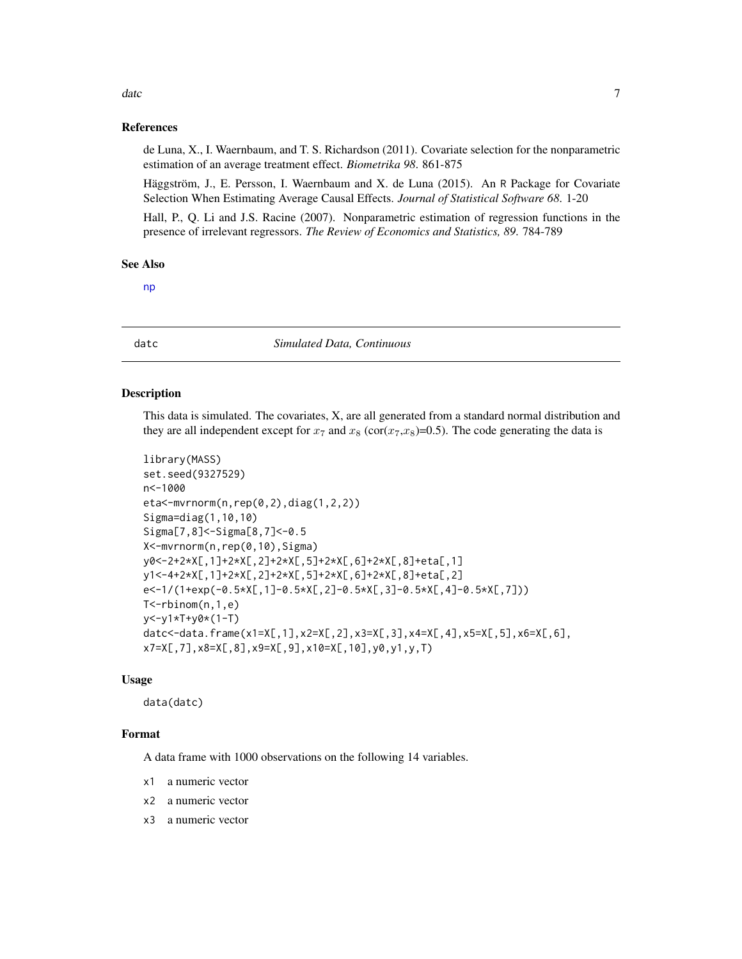#### <span id="page-6-0"></span>date that the contract of the contract of the contract of the contract of the contract of the contract of the contract of the contract of the contract of the contract of the contract of the contract of the contract of the

#### References

de Luna, X., I. Waernbaum, and T. S. Richardson (2011). Covariate selection for the nonparametric estimation of an average treatment effect. *Biometrika 98*. 861-875

Häggström, J., E. Persson, I. Waernbaum and X. de Luna (2015). An R Package for Covariate Selection When Estimating Average Causal Effects. *Journal of Statistical Software 68*. 1-20

Hall, P., Q. Li and J.S. Racine (2007). Nonparametric estimation of regression functions in the presence of irrelevant regressors. *The Review of Economics and Statistics, 89*. 784-789

#### See Also

[np](#page-0-0)

datc *Simulated Data, Continuous*

#### Description

This data is simulated. The covariates, X, are all generated from a standard normal distribution and they are all independent except for  $x_7$  and  $x_8$  (cor( $x_7$ , $x_8$ )=0.5). The code generating the data is

```
library(MASS)
set.seed(9327529)
n<-1000
eta<-mvrnorm(n,rep(0,2),diag(1,2,2))
Sigma=diag(1,10,10)
Sigma[7,8]<-Sigma[8,7]<-0.5
X<-mvrnorm(n,rep(0,10),Sigma)
y0<-2+2*X[,1]+2*X[,2]+2*X[,5]+2*X[,6]+2*X[,8]+eta[,1]
y1<-4+2*X[,1]+2*X[,2]+2*X[,5]+2*X[,6]+2*X[,8]+eta[,2]
e<-1/(1+exp(-0.5*X[,1]-0.5*X[,2]-0.5*X[,3]-0.5*X[,4]-0.5*X[,7]))
T<-rbinom(n,1,e)
y<-y1*T+y0*(1-T)
datc<-data.frame(x1=X[,1],x2=X[,2],x3=X[,3],x4=X[,4],x5=X[,5],x6=X[,6],
x7=X[,7],x8=X[,8],x9=X[,9],x10=X[,10],y0,y1,y,T)
```
#### Usage

data(datc)

#### Format

A data frame with 1000 observations on the following 14 variables.

- x1 a numeric vector
- x2 a numeric vector
- x3 a numeric vector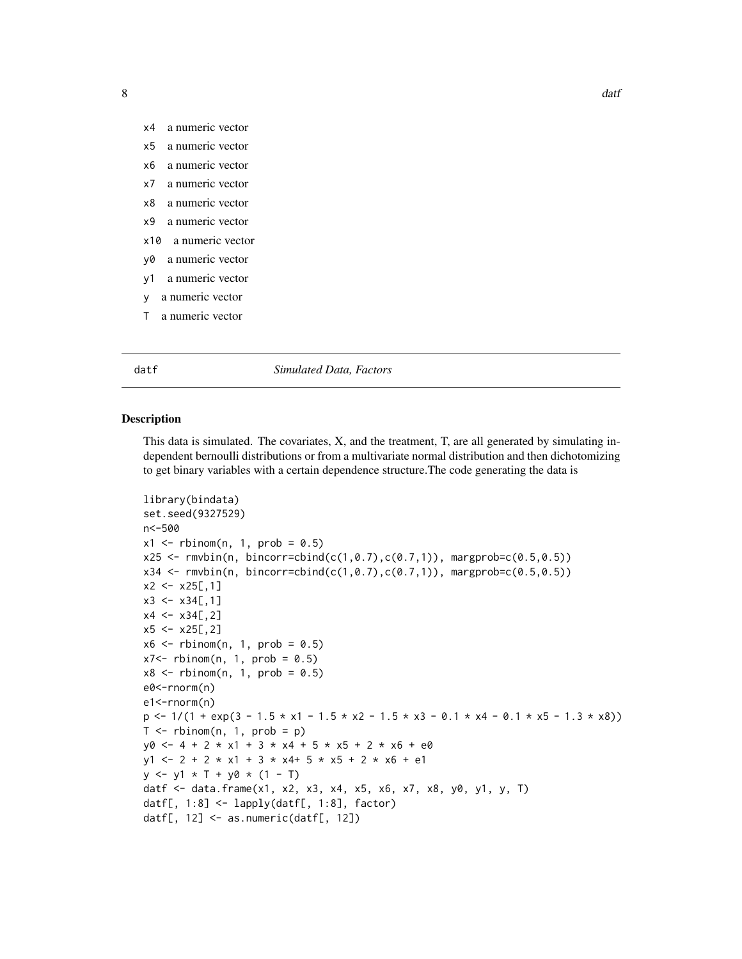- <span id="page-7-0"></span>x4 a numeric vector
- x5 a numeric vector
- x6 a numeric vector
- x7 a numeric vector
- x8 a numeric vector
- x9 a numeric vector
- x10 a numeric vector
- y0 a numeric vector
- y1 a numeric vector
- y a numeric vector
- T a numeric vector

#### datf *Simulated Data, Factors*

#### Description

This data is simulated. The covariates, X, and the treatment, T, are all generated by simulating independent bernoulli distributions or from a multivariate normal distribution and then dichotomizing to get binary variables with a certain dependence structure.The code generating the data is

```
library(bindata)
set.seed(9327529)
n<-500
x1 \leq - rbinom(n, 1, prob = 0.5)
x25 \leq rmvbin(n, bincorr=cbind(c(1,0.7),c(0.7,1)), margprob=c(0.5,0.5))
x34 \leq r mvbin(n, bincorr=cbind(c(1,0.7),c(0.7,1)), margprob=c(0.5,0.5))
x2 < -x25[, 1]
x3 \leq x34[, 1]
x4 \leq x34[,2]
x5 < -x25[,2]
x6 \le rbinom(n, 1, prob = 0.5)
x7 < - rbinom(n, 1, prob = 0.5)
x8 \le rbinom(n, 1, prob = 0.5)
e0<-rnorm(n)
e1<-rnorm(n)
p \le -1/(1 + \exp(3 - 1.5 \times x1 - 1.5 \times x2 - 1.5 \times x3 - 0.1 \times x4 - 0.1 \times x5 - 1.3 \times x8))T \leq - rbinom(n, 1, prob = p)
y0 \le -4 + 2 \times x1 + 3 \times x4 + 5 \times x5 + 2 \times x6 + e0y1 \le -2 + 2 \times x1 + 3 \times x4 + 5 \times x5 + 2 \times x6 + e1y \le -y1 \times T + y0 \times (1 - T)datf <- data.frame(x1, x2, x3, x4, x5, x6, x7, x8, y0, y1, y, T)
datf[, 1:8] <- lapply(datf[, 1:8], factor)
datf[, 12] <- as.numeric(datf[, 12])
```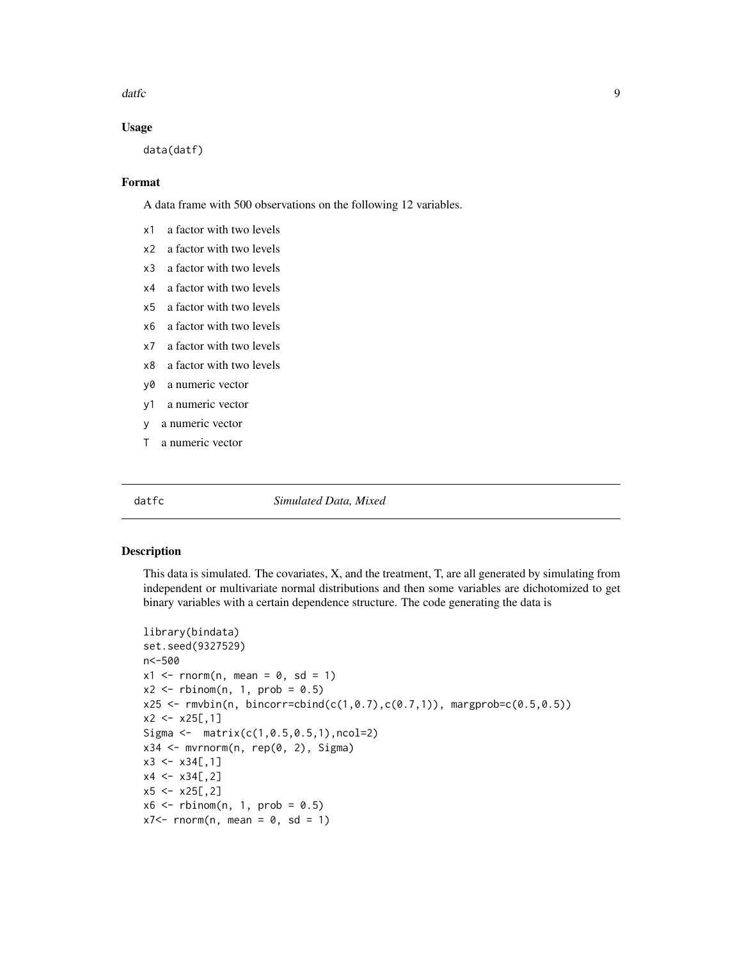<span id="page-8-0"></span>datfc **9** 

#### Usage

data(datf)

#### Format

A data frame with 500 observations on the following 12 variables.

- x1 a factor with two levels
- x2 a factor with two levels
- x3 a factor with two levels
- x4 a factor with two levels
- x5 a factor with two levels
- x6 a factor with two levels
- x7 a factor with two levels
- x8 a factor with two levels
- y0 a numeric vector
- y1 a numeric vector
- y a numeric vector
- T a numeric vector

datfc *Simulated Data, Mixed*

#### Description

This data is simulated. The covariates, X, and the treatment, T, are all generated by simulating from independent or multivariate normal distributions and then some variables are dichotomized to get binary variables with a certain dependence structure. The code generating the data is

```
library(bindata)
set.seed(9327529)
n<-500
x1 \le - rnorm(n, mean = 0, sd = 1)
x2 \le rbinom(n, 1, prob = 0.5)
x25 \leq r mvbin(n, bincorr=cbind(c(1,0.7),c(0.7,1)), margprob=c(0.5,0.5))
x2 < -x25[, 1]
Sigma \leq matrix(c(1, 0.5, 0.5, 1), ncol=2)
x34 \leq -\text{mvrnorm}(n, \text{rep}(0, 2), \text{Sigma})x3 \leq x34[, 1]
x4 < -x34[,2]
x5 < -x25[,2]
x6 \le rbinom(n, 1, prob = 0.5)
x7 < - rnorm(n, mean = 0, sd = 1)
```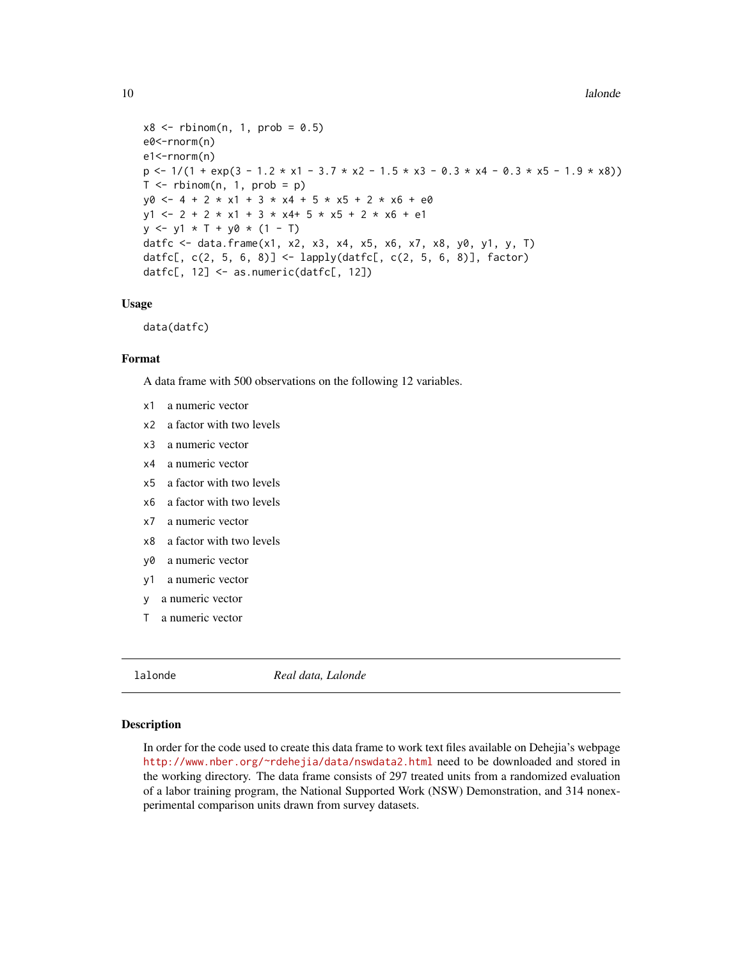```
x8 \le rbinom(n, 1, prob = 0.5)
e0<-rnorm(n)
e1<-rnorm(n)
p \le -1/(1 + \exp(3 - 1.2 \times x1 - 3.7 \times x2 - 1.5 \times x3 - 0.3 \times x4 - 0.3 \times x5 - 1.9 \times x8))T \leq - rbinom(n, 1, prob = p)
y0 \le -4 + 2 \times x1 + 3 \times x4 + 5 \times x5 + 2 \times x6 + e0y1 \le -2 + 2 \times x1 + 3 \times x4 + 5 \times x5 + 2 \times x6 + e1y \le -y1 \times T + y0 \times (1 - T)datfc <- data.frame(x1, x2, x3, x4, x5, x6, x7, x8, y0, y1, y, T)
datfc[, c(2, 5, 6, 8)] <- lapply(datfc[, c(2, 5, 6, 8)], factor)
datfc[, 12] <- as.numeric(datfc[, 12])
```
#### Usage

data(datfc)

#### Format

A data frame with 500 observations on the following 12 variables.

- x1 a numeric vector
- x2 a factor with two levels
- x3 a numeric vector
- x4 a numeric vector
- x5 a factor with two levels
- x6 a factor with two levels
- x7 a numeric vector
- x8 a factor with two levels
- y0 a numeric vector
- y1 a numeric vector
- y a numeric vector
- T a numeric vector

lalonde *Real data, Lalonde*

#### Description

In order for the code used to create this data frame to work text files available on Dehejia's webpage <http://www.nber.org/~rdehejia/data/nswdata2.html> need to be downloaded and stored in the working directory. The data frame consists of 297 treated units from a randomized evaluation of a labor training program, the National Supported Work (NSW) Demonstration, and 314 nonexperimental comparison units drawn from survey datasets.

<span id="page-9-0"></span>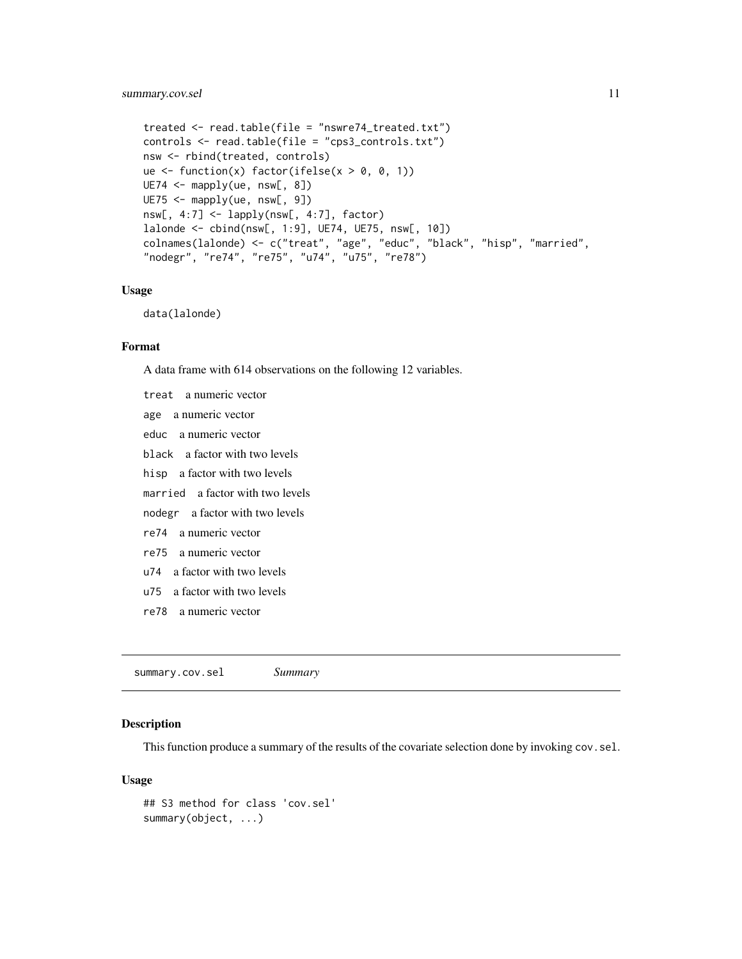### <span id="page-10-0"></span>summary.cov.sel 11

```
treated <- read.table(file = "nswre74_treated.txt")
controls <- read.table(file = "cps3_controls.txt")
nsw <- rbind(treated, controls)
ue \le function(x) factor(ifelse(x > 0, 0, 1))
UE74 <- mapply(ue, nsw[, 8])
UE75 <- mapply(ue, nsw[, 9])
nsw[, 4:7] \leftarrow lapply(nsw[, 4:7], factor)
lalonde <- cbind(nsw[, 1:9], UE74, UE75, nsw[, 10])
colnames(lalonde) <- c("treat", "age", "educ", "black", "hisp", "married",
"nodegr", "re74", "re75", "u74", "u75", "re78")
```
#### Usage

data(lalonde)

#### Format

A data frame with 614 observations on the following 12 variables.

treat a numeric vector age a numeric vector educ a numeric vector black a factor with two levels hisp a factor with two levels married a factor with two levels nodegr a factor with two levels re74 a numeric vector re75 a numeric vector u74 a factor with two levels u75 a factor with two levels re78 a numeric vector

summary.cov.sel *Summary*

#### Description

This function produce a summary of the results of the covariate selection done by invoking cov. sel.

#### Usage

```
## S3 method for class 'cov.sel'
summary(object, ...)
```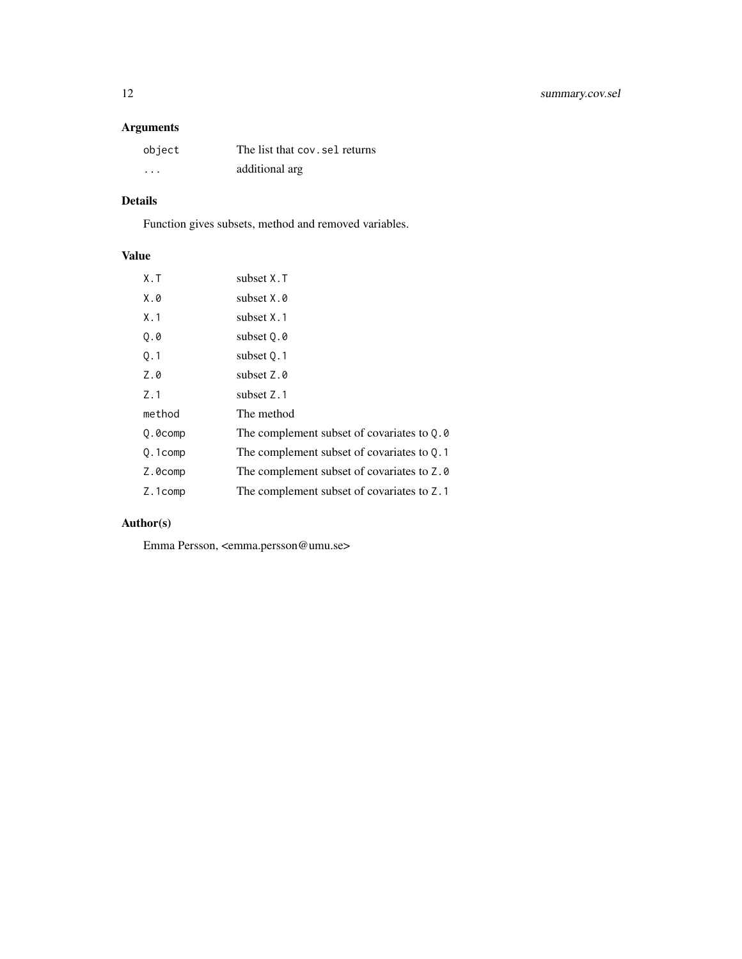# Arguments

| object   | The list that cov. sel returns |
|----------|--------------------------------|
| $\cdots$ | additional arg                 |

# Details

Function gives subsets, method and removed variables.

# Value

| $X \cdot T$ | subset X.T                                   |
|-------------|----------------------------------------------|
| X.0         | subset X.0                                   |
| X.1         | subset X.1                                   |
| Q.0         | subset Q.0                                   |
| Q.1         | subset 0.1                                   |
| Z.0         | subset Z.0                                   |
| Z.1         | subset Z.1                                   |
| method      | The method                                   |
| Q.0comp     | The complement subset of covariates to $Q.0$ |
| Q.1comp     | The complement subset of covariates to $Q.1$ |
| Z.0comp     | The complement subset of covariates to Z.0   |
| Z.1comp     | The complement subset of covariates to Z.1   |
|             |                                              |

# Author(s)

Emma Persson, <emma.persson@umu.se>